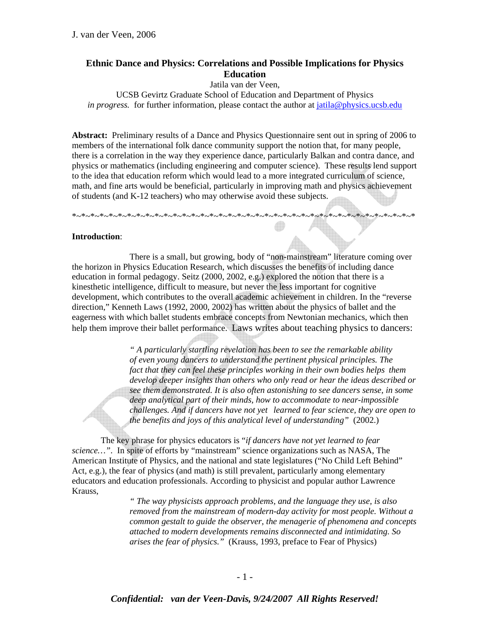# **Ethnic Dance and Physics: Correlations and Possible Implications for Physics Education**

Jatila van der Veen,

UCSB Gevirtz Graduate School of Education and Department of Physics *in progress.* for further information, please contact the author at jatila@physics.ucsb.edu

**Abstract:** Preliminary results of a Dance and Physics Questionnaire sent out in spring of 2006 to members of the international folk dance community support the notion that, for many people, there is a correlation in the way they experience dance, particularly Balkan and contra dance, and physics or mathematics (including engineering and computer science). These results lend support to the idea that education reform which would lead to a more integrated curriculum of science, math, and fine arts would be beneficial, particularly in improving math and physics achievement of students (and K-12 teachers) who may otherwise avoid these subjects.

\*~\*~\*~\*~\*~\*~\*~\*~\*~\*~\*~\*~\*~\*~\*~\*~\*~\*~\*~\*~\*~\*~\*~\*~\*~\*~\*~\*~\*~\*~\*~\*~\*~\*~\*~\*~\*~\*

### **Introduction**:

 There is a small, but growing, body of "non-mainstream" literature coming over the horizon in Physics Education Research, which discusses the benefits of including dance education in formal pedagogy. Seitz (2000, 2002, e.g.) explored the notion that there is a kinesthetic intelligence, difficult to measure, but never the less important for cognitive development, which contributes to the overall academic achievement in children. In the "reverse direction," Kenneth Laws (1992, 2000, 2002) has written about the physics of ballet and the eagerness with which ballet students embrace concepts from Newtonian mechanics, which then help them improve their ballet performance. Laws writes about teaching physics to dancers:

> *" A particularly startling revelation has been to see the remarkable ability of even young dancers to understand the pertinent physical principles. The fact that they can feel these principles working in their own bodies helps them develop deeper insights than others who only read or hear the ideas described or see them demonstrated. It is also often astonishing to see dancers sense, in some deep analytical part of their minds, how to accommodate to near-impossible challenges. And if dancers have not yet learned to fear science, they are open to the benefits and joys of this analytical level of understanding"* (2002.)

 The key phrase for physics educators is "*if dancers have not yet learned to fear science…"*. In spite of efforts by "mainstream" science organizations such as NASA, The American Institute of Physics, and the national and state legislatures ("No Child Left Behind" Act, e.g.), the fear of physics (and math) is still prevalent, particularly among elementary educators and education professionals. According to physicist and popular author Lawrence Krauss,

> *" The way physicists approach problems, and the language they use, is also removed from the mainstream of modern-day activity for most people. Without a common gestalt to guide the observer, the menagerie of phenomena and concepts attached to modern developments remains disconnected and intimidating. So arises the fear of physics."* (Krauss, 1993, preface to Fear of Physics)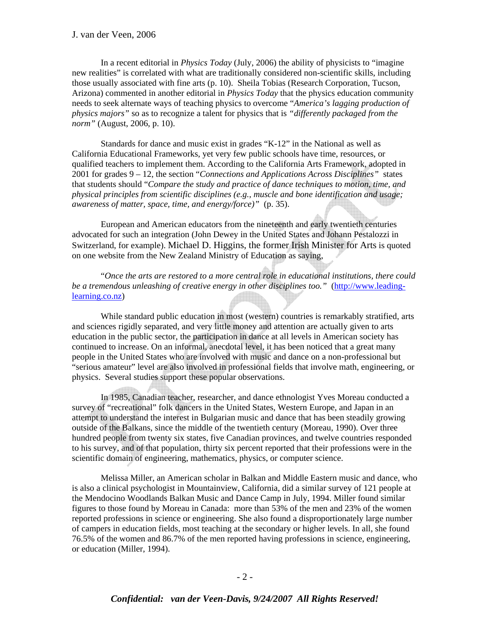In a recent editorial in *Physics Today* (July, 2006) the ability of physicists to "imagine new realities" is correlated with what are traditionally considered non-scientific skills, including those usually associated with fine arts (p. 10). Sheila Tobias (Research Corporation, Tucson, Arizona) commented in another editorial in *Physics Today* that the physics education community needs to seek alternate ways of teaching physics to overcome "*America's lagging production of physics majors"* so as to recognize a talent for physics that is *"differently packaged from the norm"* (August, 2006, p. 10).

 Standards for dance and music exist in grades "K-12" in the National as well as California Educational Frameworks, yet very few public schools have time, resources, or qualified teachers to implement them. According to the California Arts Framework, adopted in 2001 for grades 9 – 12, the section "*Connections and Applications Across Disciplines"* states that students should "*Compare the study and practice of dance techniques to motion, time, and physical principles from scientific disciplines (e.g., muscle and bone identification and usage; awareness of matter, space, time, and energy/force)"* (p. 35).

 European and American educators from the nineteenth and early twentieth centuries advocated for such an integration (John Dewey in the United States and Johann Pestalozzi in Switzerland, for example). Michael D. Higgins, the former Irish Minister for Arts is quoted on one website from the New Zealand Ministry of Education as saying,

 "*Once the arts are restored to a more central role in educational institutions, there could*  be a tremendous unleashing of creative energy in other disciplines too." (http://www.leadinglearning.co.nz)

 While standard public education in most (western) countries is remarkably stratified, arts and sciences rigidly separated, and very little money and attention are actually given to arts education in the public sector, the participation in dance at all levels in American society has continued to increase. On an informal, anecdotal level, it has been noticed that a great many people in the United States who are involved with music and dance on a non-professional but "serious amateur" level are also involved in professional fields that involve math, engineering, or physics. Several studies support these popular observations.

 In 1985, Canadian teacher, researcher, and dance ethnologist Yves Moreau conducted a survey of "recreational" folk dancers in the United States, Western Europe, and Japan in an attempt to understand the interest in Bulgarian music and dance that has been steadily growing outside of the Balkans, since the middle of the twentieth century (Moreau, 1990). Over three hundred people from twenty six states, five Canadian provinces, and twelve countries responded to his survey, and of that population, thirty six percent reported that their professions were in the scientific domain of engineering, mathematics, physics, or computer science.

 Melissa Miller, an American scholar in Balkan and Middle Eastern music and dance, who is also a clinical psychologist in Mountainview, California, did a similar survey of 121 people at the Mendocino Woodlands Balkan Music and Dance Camp in July, 1994. Miller found similar figures to those found by Moreau in Canada: more than 53% of the men and 23% of the women reported professions in science or engineering. She also found a disproportionately large number of campers in education fields, most teaching at the secondary or higher levels. In all, she found 76.5% of the women and 86.7% of the men reported having professions in science, engineering, or education (Miller, 1994).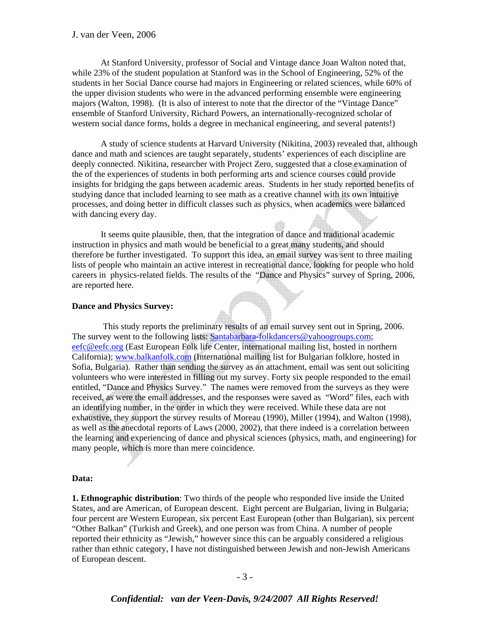At Stanford University, professor of Social and Vintage dance Joan Walton noted that, while 23% of the student population at Stanford was in the School of Engineering, 52% of the students in her Social Dance course had majors in Engineering or related sciences, while 60% of the upper division students who were in the advanced performing ensemble were engineering majors (Walton, 1998). (It is also of interest to note that the director of the "Vintage Dance" ensemble of Stanford University, Richard Powers, an internationally-recognized scholar of western social dance forms, holds a degree in mechanical engineering, and several patents!)

 A study of science students at Harvard University (Nikitina, 2003) revealed that, although dance and math and sciences are taught separately, students' experiences of each discipline are deeply connected. Nikitina, researcher with Project Zero, suggested that a close examination of the of the experiences of students in both performing arts and science courses could provide insights for bridging the gaps between academic areas. Students in her study reported benefits of studying dance that included learning to see math as a creative channel with its own intuitive processes, and doing better in difficult classes such as physics, when academics were balanced with dancing every day.

 It seems quite plausible, then, that the integration of dance and traditional academic instruction in physics and math would be beneficial to a great many students, and should therefore be further investigated. To support this idea, an email survey was sent to three mailing lists of people who maintain an active interest in recreational dance, looking for people who hold careers in physics-related fields. The results of the "Dance and Physics" survey of Spring, 2006, are reported here.

#### **Dance and Physics Survey:**

This study reports the preliminary results of an email survey sent out in Spring, 2006. The survey went to the following lists: Santabarbara-folkdancers@yahoogroups.com; eefc@eefc.org (East European Folk life Center, international mailing list, hosted in northern California); www.balkanfolk.com (International mailing list for Bulgarian folklore, hosted in Sofia, Bulgaria). Rather than sending the survey as an attachment, email was sent out soliciting volunteers who were interested in filling out my survey. Forty six people responded to the email entitled, "Dance and Physics Survey." The names were removed from the surveys as they were received, as were the email addresses, and the responses were saved as "Word" files, each with an identifying number, in the order in which they were received. While these data are not exhaustive, they support the survey results of Moreau (1990), Miller (1994), and Walton (1998), as well as the anecdotal reports of Laws (2000, 2002), that there indeed is a correlation between the learning and experiencing of dance and physical sciences (physics, math, and engineering) for many people, which is more than mere coincidence.

#### **Data:**

**1. Ethnographic distribution**: Two thirds of the people who responded live inside the United States, and are American, of European descent. Eight percent are Bulgarian, living in Bulgaria; four percent are Western European, six percent East European (other than Bulgarian), six percent "Other Balkan" (Turkish and Greek), and one person was from China. A number of people reported their ethnicity as "Jewish," however since this can be arguably considered a religious rather than ethnic category, I have not distinguished between Jewish and non-Jewish Americans of European descent.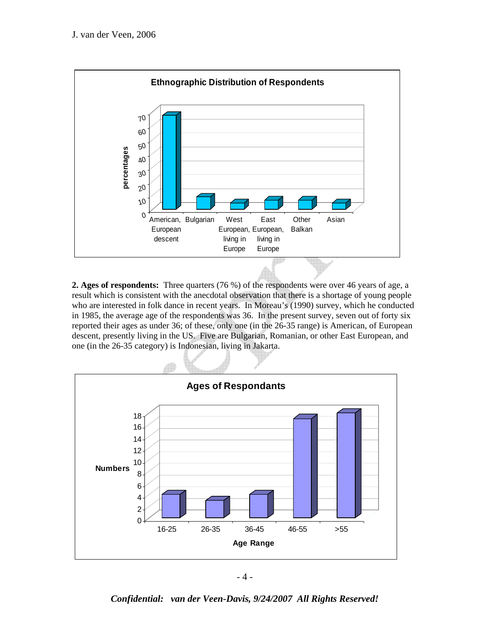

**2. Ages of respondents:** Three quarters (76 %) of the respondents were over 46 years of age, a result which is consistent with the anecdotal observation that there is a shortage of young people who are interested in folk dance in recent years. In Moreau's (1990) survey, which he conducted in 1985, the average age of the respondents was 36. In the present survey, seven out of forty six reported their ages as under 36; of these, only one (in the 26-35 range) is American, of European descent, presently living in the US. Five are Bulgarian, Romanian, or other East European, and one (in the 26-35 category) is Indonesian, living in Jakarta.



- 4 -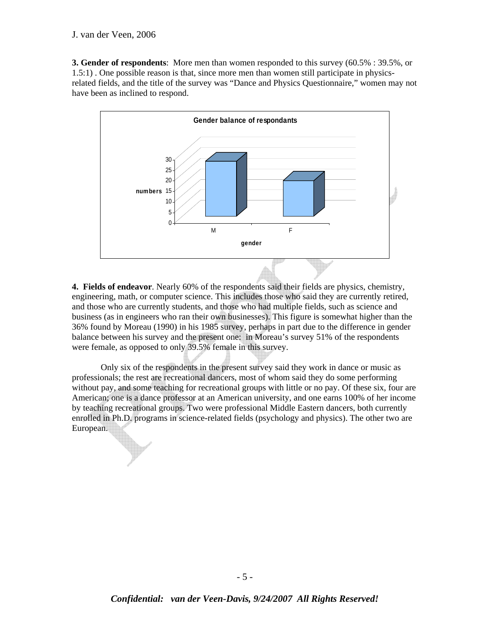**3. Gender of respondents**: More men than women responded to this survey (60.5% : 39.5%, or 1.5:1) . One possible reason is that, since more men than women still participate in physicsrelated fields, and the title of the survey was "Dance and Physics Questionnaire," women may not have been as inclined to respond.



**4. Fields of endeavor**. Nearly 60% of the respondents said their fields are physics, chemistry, engineering, math, or computer science. This includes those who said they are currently retired, and those who are currently students, and those who had multiple fields, such as science and business (as in engineers who ran their own businesses). This figure is somewhat higher than the 36% found by Moreau (1990) in his 1985 survey, perhaps in part due to the difference in gender balance between his survey and the present one: in Moreau's survey 51% of the respondents were female, as opposed to only 39.5% female in this survey.

 Only six of the respondents in the present survey said they work in dance or music as professionals; the rest are recreational dancers, most of whom said they do some performing without pay, and some teaching for recreational groups with little or no pay. Of these six, four are American; one is a dance professor at an American university, and one earns 100% of her income by teaching recreational groups. Two were professional Middle Eastern dancers, both currently enrolled in Ph.D. programs in science-related fields (psychology and physics). The other two are European.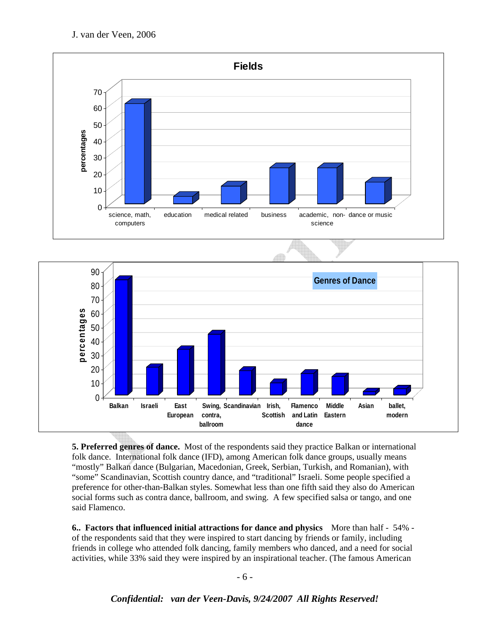



**5. Preferred genres of dance.** Most of the respondents said they practice Balkan or international folk dance. International folk dance (IFD), among American folk dance groups, usually means "mostly" Balkan dance (Bulgarian, Macedonian, Greek, Serbian, Turkish, and Romanian), with "some" Scandinavian, Scottish country dance, and "traditional" Israeli. Some people specified a preference for other-than-Balkan styles. Somewhat less than one fifth said they also do American social forms such as contra dance, ballroom, and swing. A few specified salsa or tango, and one said Flamenco.

**6.. Factors that influenced initial attractions for dance and physics** More than half - 54% of the respondents said that they were inspired to start dancing by friends or family, including friends in college who attended folk dancing, family members who danced, and a need for social activities, while 33% said they were inspired by an inspirational teacher. (The famous American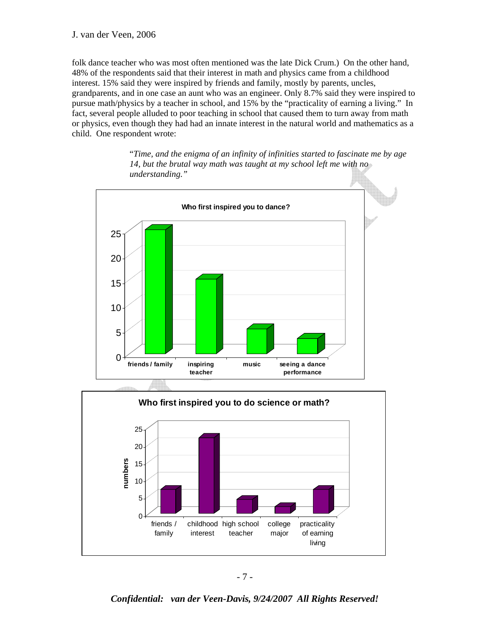folk dance teacher who was most often mentioned was the late Dick Crum.) On the other hand, 48% of the respondents said that their interest in math and physics came from a childhood interest. 15% said they were inspired by friends and family, mostly by parents, uncles, grandparents, and in one case an aunt who was an engineer. Only 8.7% said they were inspired to pursue math/physics by a teacher in school, and 15% by the "practicality of earning a living." In fact, several people alluded to poor teaching in school that caused them to turn away from math or physics, even though they had had an innate interest in the natural world and mathematics as a child. One respondent wrote:

> "*Time, and the enigma of an infinity of infinities started to fascinate me by age 14, but the brutal way math was taught at my school left me with no understanding."*



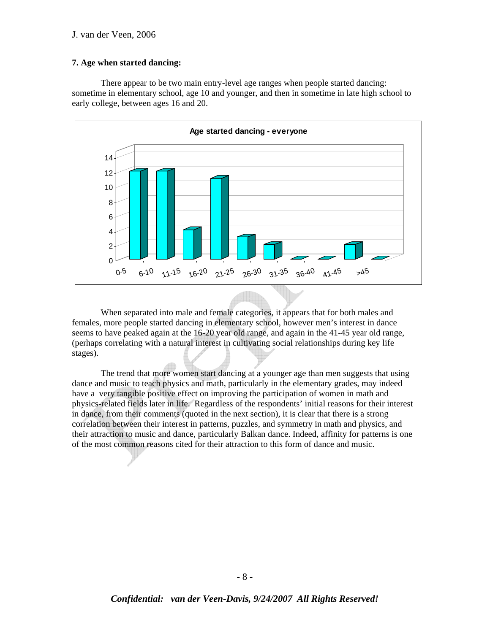#### **7. Age when started dancing:**

 There appear to be two main entry-level age ranges when people started dancing: sometime in elementary school, age 10 and younger, and then in sometime in late high school to early college, between ages 16 and 20.



 When separated into male and female categories, it appears that for both males and females, more people started dancing in elementary school, however men's interest in dance seems to have peaked again at the 16-20 year old range, and again in the 41-45 year old range, (perhaps correlating with a natural interest in cultivating social relationships during key life stages).

 The trend that more women start dancing at a younger age than men suggests that using dance and music to teach physics and math, particularly in the elementary grades, may indeed have a very tangible positive effect on improving the participation of women in math and physics-related fields later in life. Regardless of the respondents' initial reasons for their interest in dance, from their comments (quoted in the next section), it is clear that there is a strong correlation between their interest in patterns, puzzles, and symmetry in math and physics, and their attraction to music and dance, particularly Balkan dance. Indeed, affinity for patterns is one of the most common reasons cited for their attraction to this form of dance and music.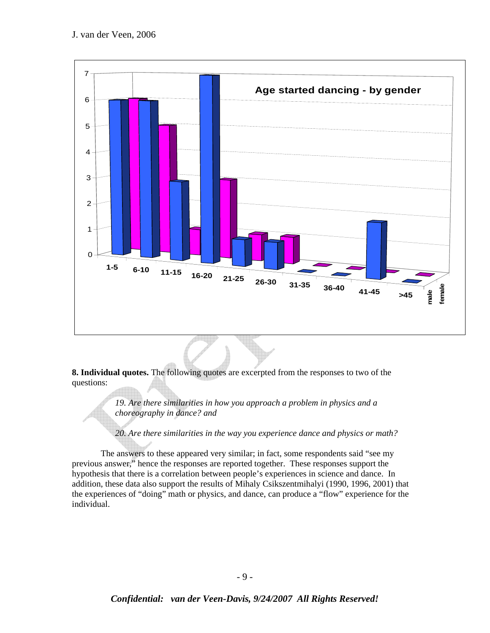

**8. Individual quotes.** The following quotes are excerpted from the responses to two of the questions:

> *19. Are there similarities in how you approach a problem in physics and a choreography in dance? and*

*20. Are there similarities in the way you experience dance and physics or math?* 

 The answers to these appeared very similar; in fact, some respondents said "see my previous answer," hence the responses are reported together. These responses support the hypothesis that there is a correlation between people's experiences in science and dance. In addition, these data also support the results of Mihaly Csikszentmihalyi (1990, 1996, 2001) that the experiences of "doing" math or physics, and dance, can produce a "flow" experience for the individual.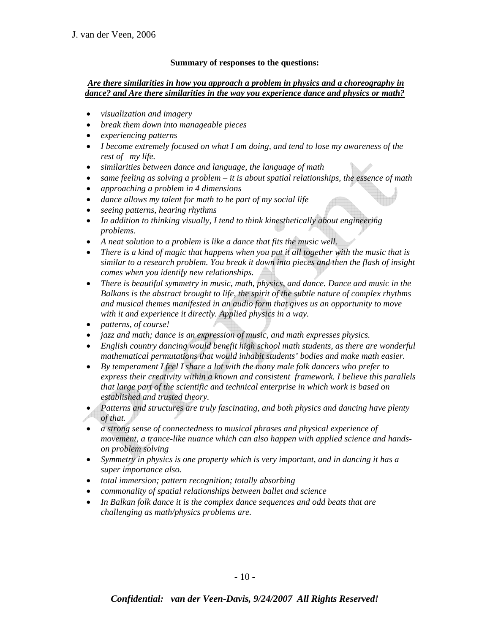### **Summary of responses to the questions:**

### *Are there similarities in how you approach a problem in physics and a choreography in dance? and Are there similarities in the way you experience dance and physics or math?*

- *visualization and imagery*
- *break them down into manageable pieces*
- *experiencing patterns*
- *I become extremely focused on what I am doing, and tend to lose my awareness of the rest of my life.*
- *similarities between dance and language, the language of math*
- *same feeling as solving a problem it is about spatial relationships, the essence of math*
- *approaching a problem in 4 dimensions*
- *dance allows my talent for math to be part of my social life*
- *seeing patterns, hearing rhythms*
- *In addition to thinking visually, I tend to think kinesthetically about engineering problems.*
- *A neat solution to a problem is like a dance that fits the music well.*
- *There is a kind of magic that happens when you put it all together with the music that is similar to a research problem. You break it down into pieces and then the flash of insight comes when you identify new relationships.*
- *There is beautiful symmetry in music, math, physics, and dance. Dance and music in the Balkans is the abstract brought to life, the spirit of the subtle nature of complex rhythms and musical themes manifested in an audio form that gives us an opportunity to move with it and experience it directly. Applied physics in a way.*
- *patterns, of course!*
- *jazz and math; dance is an expression of music, and math expresses physics.*
- *English country dancing would benefit high school math students, as there are wonderful mathematical permutations that would inhabit students' bodies and make math easier.*
- *By temperament I feel I share a lot with the many male folk dancers who prefer to express their creativity within a known and consistent framework. I believe this parallels that large part of the scientific and technical enterprise in which work is based on established and trusted theory.*
- *Patterns and structures are truly fascinating, and both physics and dancing have plenty of that.*
- *a strong sense of connectedness to musical phrases and physical experience of movement, a trance-like nuance which can also happen with applied science and handson problem solving*
- *Symmetry in physics is one property which is very important, and in dancing it has a super importance also.*
- *total immersion; pattern recognition; totally absorbing*
- *commonality of spatial relationships between ballet and science*
- *In Balkan folk dance it is the complex dance sequences and odd beats that are challenging as math/physics problems are.*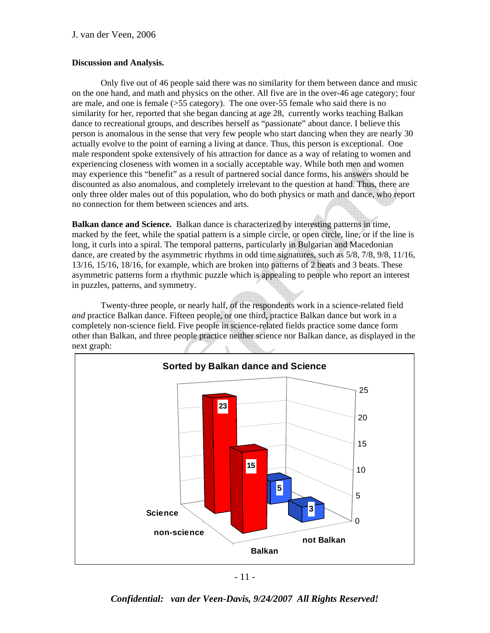#### **Discussion and Analysis.**

 Only five out of 46 people said there was no similarity for them between dance and music on the one hand, and math and physics on the other. All five are in the over-46 age category; four are male, and one is female (>55 category). The one over-55 female who said there is no similarity for her, reported that she began dancing at age 28, currently works teaching Balkan dance to recreational groups, and describes herself as "passionate" about dance. I believe this person is anomalous in the sense that very few people who start dancing when they are nearly 30 actually evolve to the point of earning a living at dance. Thus, this person is exceptional. One male respondent spoke extensively of his attraction for dance as a way of relating to women and experiencing closeness with women in a socially acceptable way. While both men and women may experience this "benefit" as a result of partnered social dance forms, his answers should be discounted as also anomalous, and completely irrelevant to the question at hand. Thus, there are only three older males out of this population, who do both physics or math and dance, who report no connection for them between sciences and arts.

**Balkan dance and Science.** Balkan dance is characterized by interesting patterns in time, marked by the feet, while the spatial pattern is a simple circle, or open circle, line, or if the line is long, it curls into a spiral. The temporal patterns, particularly in Bulgarian and Macedonian dance, are created by the asymmetric rhythms in odd time signatures, such as 5/8, 7/8, 9/8, 11/16, 13/16, 15/16, 18/16, for example, which are broken into patterns of 2 beats and 3 beats. These asymmetric patterns form a rhythmic puzzle which is appealing to people who report an interest in puzzles, patterns, and symmetry.

 Twenty-three people, or nearly half, of the respondents work in a science-related field *and* practice Balkan dance. Fifteen people, or one third, practice Balkan dance but work in a completely non-science field. Five people in science-related fields practice some dance form other than Balkan, and three people practice neither science nor Balkan dance, as displayed in the next graph:



- 11 -

*Confidential: van der Veen-Davis, 9/24/2007 All Rights Reserved!*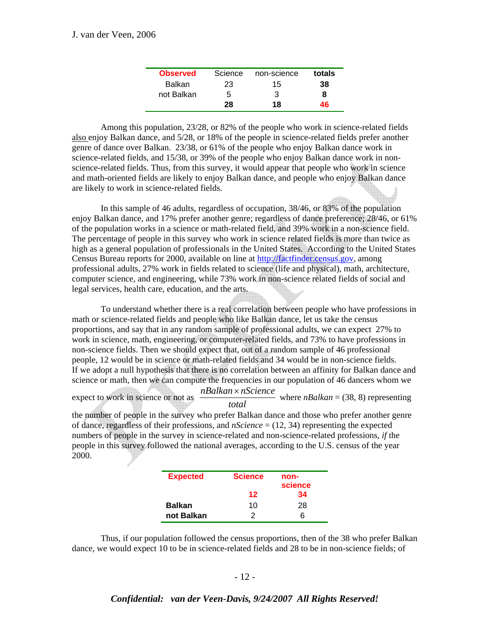| <b>Observed</b> | Science | non-science | totals |
|-----------------|---------|-------------|--------|
| <b>Balkan</b>   | 23      | 15          | 38     |
| not Balkan      | 5       | 3           | 8      |
|                 | 28      | 18          | 46     |

 Among this population, 23/28, or 82% of the people who work in science-related fields also enjoy Balkan dance, and 5/28, or 18% of the people in science-related fields prefer another genre of dance over Balkan. 23/38, or 61% of the people who enjoy Balkan dance work in science-related fields, and 15/38, or 39% of the people who enjoy Balkan dance work in nonscience-related fields. Thus, from this survey, it would appear that people who work in science and math-oriented fields are likely to enjoy Balkan dance, and people who enjoy Balkan dance are likely to work in science-related fields.

 In this sample of 46 adults, regardless of occupation, 38/46, or 83% of the population enjoy Balkan dance, and 17% prefer another genre; regardless of dance preference; 28/46, or 61% of the population works in a science or math-related field, and 39% work in a non-science field. The percentage of people in this survey who work in science related fields is more than twice as high as a general population of professionals in the United States. According to the United States Census Bureau reports for 2000, available on line at http://factfinder.census.gov, among professional adults, 27% work in fields related to science (life and physical), math, architecture, computer science, and engineering, while 73% work in non-science related fields of social and legal services, health care, education, and the arts.

 To understand whether there is a real correlation between people who have professions in math or science-related fields and people who like Balkan dance, let us take the census proportions, and say that in any random sample of professional adults, we can expect 27% to work in science, math, engineering, or computer-related fields, and 73% to have professions in non-science fields. Then we should expect that, out of a random sample of 46 professional people, 12 would be in science or math-related fields and 34 would be in non-science fields. If we adopt a null hypothesis that there is no correlation between an affinity for Balkan dance and science or math, then we can compute the frequencies in our population of 46 dancers whom we

expect to work in science or not as  $\frac{nBalkan \times nScience}{total}$ where  $nBalkan = (38, 8)$  representing

the number of people in the survey who prefer Balkan dance and those who prefer another genre of dance, regardless of their professions, and *nScience* = (12, 34) representing the expected numbers of people in the survey in science-related and non-science-related professions, *if* the people in this survey followed the national averages, according to the U.S. census of the year 2000.

| <b>Expected</b> | <b>Science</b> | non-<br>science |
|-----------------|----------------|-----------------|
|                 | 12             | 34              |
| <b>Balkan</b>   | 10             | 28              |
| not Balkan      | 2              | ิค              |

 Thus, if our population followed the census proportions, then of the 38 who prefer Balkan dance, we would expect 10 to be in science-related fields and 28 to be in non-science fields; of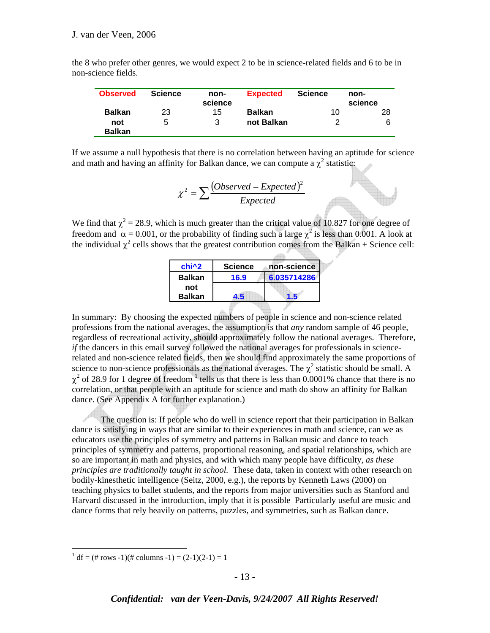| the 8 who prefer other genres, we would expect 2 to be in science-related fields and 6 to be in |  |  |
|-------------------------------------------------------------------------------------------------|--|--|
| non-science fields.                                                                             |  |  |

| <b>Observed</b>      | <b>Science</b> | non-<br>science | <b>Expected</b> | <b>Science</b> | non-<br>science |
|----------------------|----------------|-----------------|-----------------|----------------|-----------------|
| <b>Balkan</b>        | 23             | 15              | <b>Balkan</b>   | 10             | 28              |
| not<br><b>Balkan</b> | 5              | 3               | not Balkan      | 2              | 6               |

If we assume a null hypothesis that there is no correlation between having an aptitude for science and math and having an affinity for Balkan dance, we can compute a  $\chi^2$  statistic:

$$
\chi^2 = \sum \frac{(Observed - Expected)^2}{Expected}
$$

We find that  $\chi^2 = 28.9$ , which is much greater than the critical value of 10.827 for one degree of freedom and  $\alpha = 0.001$ , or the probability of finding such a large  $\chi^2$  is less than 0.001. A look at the individual  $\chi^2$  cells shows that the greatest contribution comes from the Balkan + Science cell:

| chi <sup>^2</sup> | <b>Science</b> | non-science |
|-------------------|----------------|-------------|
| <b>Balkan</b>     | 16.9           | 6.035714286 |
| not               |                |             |
| <b>Balkan</b>     | <u>. 5</u>     |             |

In summary: By choosing the expected numbers of people in science and non-science related professions from the national averages, the assumption is that *any* random sample of 46 people, regardless of recreational activity, should approximately follow the national averages. Therefore, *if* the dancers in this email survey followed the national averages for professionals in sciencerelated and non-science related fields, then we should find approximately the same proportions of science to non-science professionals as the national averages. The  $\chi^2$  statistic should be small. A  $\chi^2$  of 28.9 for 1 degree of freedom  $^1$  tells us that there is less than 0.0001% chance that there is no correlation, or that people with an aptitude for science and math do show an affinity for Balkan dance. (See Appendix A for further explanation.)

 The question is: If people who do well in science report that their participation in Balkan dance is satisfying in ways that are similar to their experiences in math and science, can we as educators use the principles of symmetry and patterns in Balkan music and dance to teach principles of symmetry and patterns, proportional reasoning, and spatial relationships, which are so are important in math and physics, and with which many people have difficulty, *as these principles are traditionally taught in school.* These data, taken in context with other research on bodily-kinesthetic intelligence (Seitz, 2000, e.g.), the reports by Kenneth Laws (2000) on teaching physics to ballet students, and the reports from major universities such as Stanford and Harvard discussed in the introduction, imply that it is possible Particularly useful are music and dance forms that rely heavily on patterns, puzzles, and symmetries, such as Balkan dance.

 $\frac{1}{1}$  df = (# rows -1)(# columns -1) = (2-1)(2-1) = 1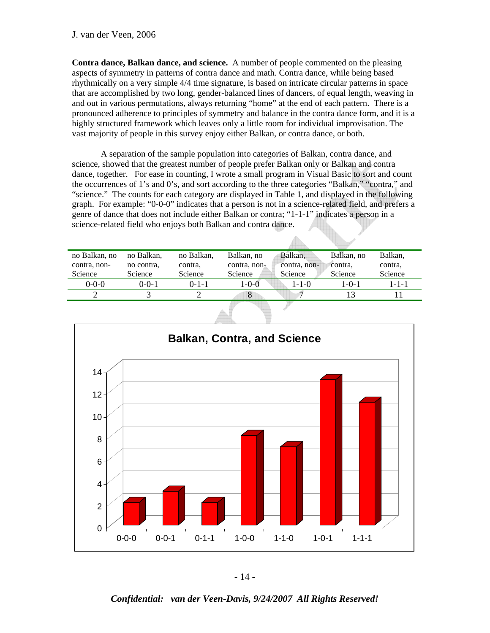**Contra dance, Balkan dance, and science.** A number of people commented on the pleasing aspects of symmetry in patterns of contra dance and math. Contra dance, while being based rhythmically on a very simple 4/4 time signature, is based on intricate circular patterns in space that are accomplished by two long, gender-balanced lines of dancers, of equal length, weaving in and out in various permutations, always returning "home" at the end of each pattern. There is a pronounced adherence to principles of symmetry and balance in the contra dance form, and it is a highly structured framework which leaves only a little room for individual improvisation. The vast majority of people in this survey enjoy either Balkan, or contra dance, or both.

 A separation of the sample population into categories of Balkan, contra dance, and science, showed that the greatest number of people prefer Balkan only or Balkan and contra dance, together. For ease in counting, I wrote a small program in Visual Basic to sort and count the occurrences of 1's and 0's, and sort according to the three categories "Balkan," "contra," and "science." The counts for each category are displayed in Table 1, and displayed in the following graph. For example: "0-0-0" indicates that a person is not in a science-related field, and prefers a genre of dance that does not include either Balkan or contra; "1-1-1" indicates a person in a science-related field who enjoys both Balkan and contra dance.

| no Balkan, no | no Balkan. | no Balkan.  | Balkan, no     | Balkan.      | Balkan, no | Balkan,     |
|---------------|------------|-------------|----------------|--------------|------------|-------------|
| contra, non-  | no contra, | contra.     | contra, non-   | contra, non- | contra.    | contra.     |
| Science       | Science    | Science     | <b>Science</b> | Science      | Science    | Science     |
| $0 - 0 - 0$   | 0-0-1      | $0 - 1 - 1$ | $-0-0$         | $1 - 1 - 0$  | 1-0-1      | $1 - 1 - 1$ |
|               |            |             | 8              |              | 13         |             |
|               |            |             |                |              |            |             |



- 14 -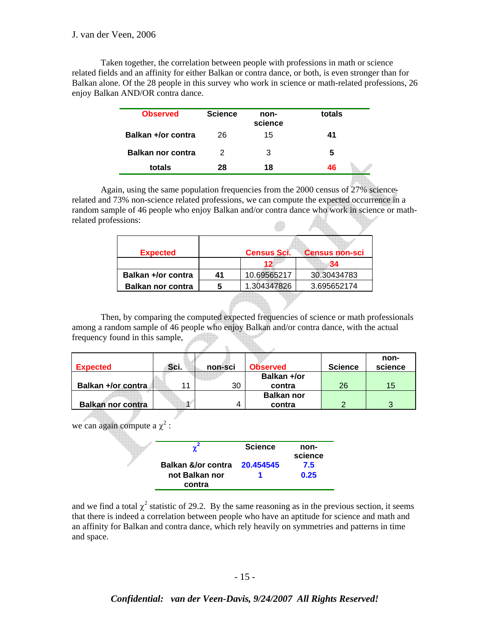Taken together, the correlation between people with professions in math or science related fields and an affinity for either Balkan or contra dance, or both, is even stronger than for Balkan alone. Of the 28 people in this survey who work in science or math-related professions, 26 enjoy Balkan AND/OR contra dance.

| <b>Observed</b>          | <b>Science</b> | non-<br>science | totals |
|--------------------------|----------------|-----------------|--------|
| Balkan +/or contra       | 26             | 15              | 41     |
| <b>Balkan nor contra</b> | 2              | З               | 5      |
| totals                   | 28             | 18              | 46     |
|                          |                |                 |        |

 Again, using the same population frequencies from the 2000 census of 27% sciencerelated and 73% non-science related professions, we can compute the expected occurrence in a random sample of 46 people who enjoy Balkan and/or contra dance who work in science or mathrelated professions:  $\Box$ 

| <b>Expected</b>          |    | <b>Census Sci.</b> | <b>Census non-sci</b> |
|--------------------------|----|--------------------|-----------------------|
|                          |    | 12                 | 34                    |
| Balkan +/or contra       | 41 | 10.69565217        | 30.30434783           |
| <b>Balkan nor contra</b> | 5  | 1.304347826        | 3.695652174           |
|                          |    |                    |                       |

 Then, by comparing the computed expected frequencies of science or math professionals among a random sample of 46 people who enjoy Balkan and/or contra dance, with the actual frequency found in this sample,  $\frac{1}{16}$ 

| <b>Expected</b>          | Sci. | non-sci | <b>Observed</b>   | <b>Science</b> | non-<br>science |
|--------------------------|------|---------|-------------------|----------------|-----------------|
|                          |      |         | Balkan +/or       |                |                 |
| Balkan +/or contra       | 44   | 30      | contra            | 26             | 15              |
|                          |      |         | <b>Balkan nor</b> |                |                 |
| <b>Balkan nor contra</b> |      | 4       | contra            |                |                 |

we can again compute a  $\chi^2$  :

|                              | <b>Science</b> | non-<br>science |
|------------------------------|----------------|-----------------|
| Balkan &/or contra 20.454545 |                | 7.5             |
| not Balkan nor               |                | 0.25            |
| contra                       |                |                 |

and we find a total  $\chi^2$  statistic of 29.2. By the same reasoning as in the previous section, it seems that there is indeed a correlation between people who have an aptitude for science and math and an affinity for Balkan and contra dance, which rely heavily on symmetries and patterns in time and space.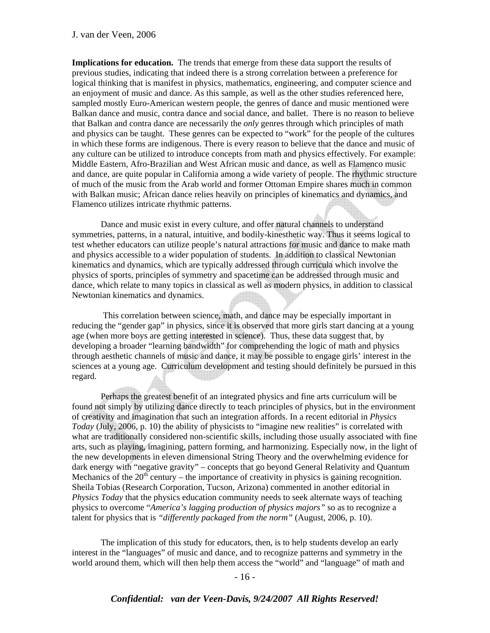**Implications for education.** The trends that emerge from these data support the results of previous studies, indicating that indeed there is a strong correlation between a preference for logical thinking that is manifest in physics, mathematics, engineering, and computer science and an enjoyment of music and dance. As this sample, as well as the other studies referenced here, sampled mostly Euro-American western people, the genres of dance and music mentioned were Balkan dance and music, contra dance and social dance, and ballet. There is no reason to believe that Balkan and contra dance are necessarily the *only* genres through which principles of math and physics can be taught. These genres can be expected to "work" for the people of the cultures in which these forms are indigenous. There is every reason to believe that the dance and music of any culture can be utilized to introduce concepts from math and physics effectively. For example: Middle Eastern, Afro-Brazilian and West African music and dance, as well as Flamenco music and dance, are quite popular in California among a wide variety of people. The rhythmic structure of much of the music from the Arab world and former Ottoman Empire shares much in common with Balkan music; African dance relies heavily on principles of kinematics and dynamics, and Flamenco utilizes intricate rhythmic patterns.

 Dance and music exist in every culture, and offer natural channels to understand symmetries, patterns, in a natural, intuitive, and bodily-kinesthetic way. Thus it seems logical to test whether educators can utilize people's natural attractions for music and dance to make math and physics accessible to a wider population of students. In addition to classical Newtonian kinematics and dynamics, which are typically addressed through curricula which involve the physics of sports, principles of symmetry and spacetime can be addressed through music and dance, which relate to many topics in classical as well as modern physics, in addition to classical Newtonian kinematics and dynamics.

 This correlation between science, math, and dance may be especially important in reducing the "gender gap" in physics, since it is observed that more girls start dancing at a young age (when more boys are getting interested in science). Thus, these data suggest that, by developing a broader "learning bandwidth" for comprehending the logic of math and physics through aesthetic channels of music and dance, it may be possible to engage girls' interest in the sciences at a young age. Curriculum development and testing should definitely be pursued in this regard.

 Perhaps the greatest benefit of an integrated physics and fine arts curriculum will be found not simply by utilizing dance directly to teach principles of physics, but in the environment of creativity and imagination that such an integration affords. In a recent editorial in *Physics Today* (July, 2006, p. 10) the ability of physicists to "imagine new realities" is correlated with what are traditionally considered non-scientific skills, including those usually associated with fine arts, such as playing, imagining, pattern forming, and harmonizing. Especially now, in the light of the new developments in eleven dimensional String Theory and the overwhelming evidence for dark energy with "negative gravity" – concepts that go beyond General Relativity and Quantum Mechanics of the  $20<sup>th</sup>$  century – the importance of creativity in physics is gaining recognition. Sheila Tobias (Research Corporation, Tucson, Arizona) commented in another editorial in *Physics Today* that the physics education community needs to seek alternate ways of teaching physics to overcome "*America's lagging production of physics majors"* so as to recognize a talent for physics that is *"differently packaged from the norm"* (August, 2006, p. 10).

 The implication of this study for educators, then, is to help students develop an early interest in the "languages" of music and dance, and to recognize patterns and symmetry in the world around them, which will then help them access the "world" and "language" of math and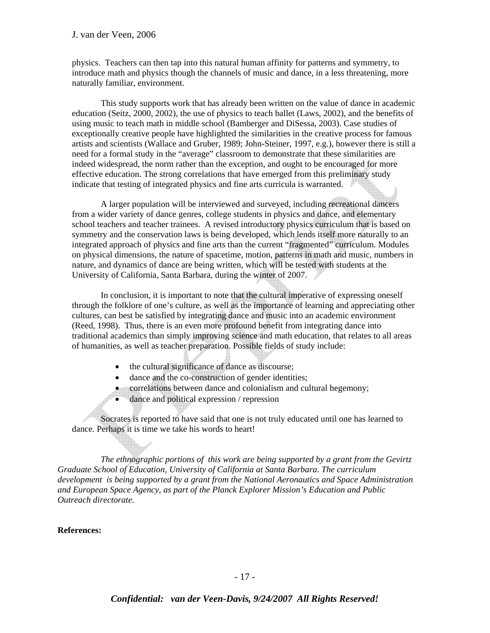physics. Teachers can then tap into this natural human affinity for patterns and symmetry, to introduce math and physics though the channels of music and dance, in a less threatening, more naturally familiar, environment.

 This study supports work that has already been written on the value of dance in academic education (Seitz, 2000, 2002), the use of physics to teach ballet (Laws, 2002), and the benefits of using music to teach math in middle school (Bamberger and DiSessa, 2003). Case studies of exceptionally creative people have highlighted the similarities in the creative process for famous artists and scientists (Wallace and Gruber, 1989; John-Steiner, 1997, e.g.), however there is still a need for a formal study in the "average" classroom to demonstrate that these similarities are indeed widespread, the norm rather than the exception, and ought to be encouraged for more effective education. The strong correlations that have emerged from this preliminary study indicate that testing of integrated physics and fine arts curricula is warranted.

 A larger population will be interviewed and surveyed, including recreational dancers from a wider variety of dance genres, college students in physics and dance, and elementary school teachers and teacher trainees. A revised introductory physics curriculum that is based on symmetry and the conservation laws is being developed, which lends itself more naturally to an integrated approach of physics and fine arts than the current "fragmented" curriculum. Modules on physical dimensions, the nature of spacetime, motion, patterns in math and music, numbers in nature, and dynamics of dance are being written, which will be tested with students at the University of California, Santa Barbara, during the winter of 2007.

 In conclusion, it is important to note that the cultural imperative of expressing oneself through the folklore of one's culture, as well as the importance of learning and appreciating other cultures, can best be satisfied by integrating dance and music into an academic environment (Reed, 1998). Thus, there is an even more profound benefit from integrating dance into traditional academics than simply improving science and math education, that relates to all areas of humanities, as well as teacher preparation. Possible fields of study include:

- the cultural significance of dance as discourse;
- dance and the co-construction of gender identities;
- correlations between dance and colonialism and cultural hegemony;
- dance and political expression / repression

 Socrates is reported to have said that one is not truly educated until one has learned to dance. Perhaps it is time we take his words to heart!

 *The ethnographic portions of this work are being supported by a grant from the Gevirtz Graduate School of Education, University of California at Santa Barbara. The curriculum development is being supported by a grant from the National Aeronautics and Space Administration and European Space Agency, as part of the Planck Explorer Mission's Education and Public Outreach directorate.* 

### **References:**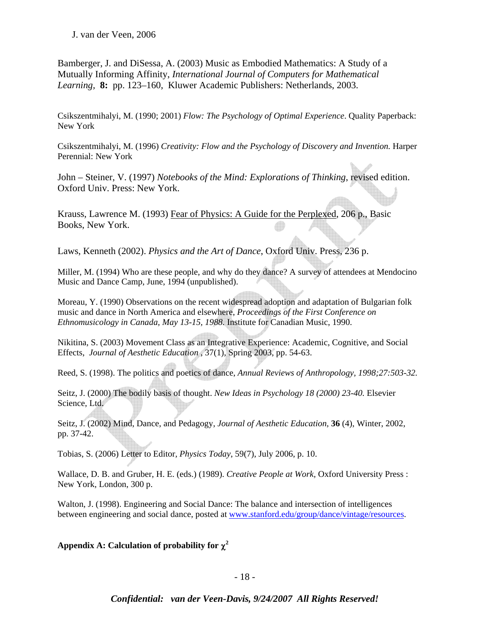Bamberger, J. and DiSessa, A. (2003) Music as Embodied Mathematics: A Study of a Mutually Informing Affinity, *International Journal of Computers for Mathematical Learning,* **8:** pp. 123–160, Kluwer Academic Publishers: Netherlands, 2003.

Csikszentmihalyi, M. (1990; 2001) *Flow: The Psychology of Optimal Experience*. Quality Paperback: New York

Csikszentmihalyi, M. (1996) *Creativity: Flow and the Psychology of Discovery and Invention.* Harper Perennial: New York

John – Steiner, V. (1997) *Notebooks of the Mind: Explorations of Thinking*, revised edition. Oxford Univ. Press: New York.

Krauss, Lawrence M. (1993) Fear of Physics: A Guide for the Perplexed, 206 p., Basic Books, New York.

Laws, Kenneth (2002). *Physics and the Art of Dance*, Oxford Univ. Press, 236 p.

Miller, M. (1994) Who are these people, and why do they dance? A survey of attendees at Mendocino Music and Dance Camp, June, 1994 (unpublished).

Moreau, Y. (1990) Observations on the recent widespread adoption and adaptation of Bulgarian folk music and dance in North America and elsewhere, *Proceedings of the First Conference on Ethnomusicology in Canada, May 13-15, 1988.* Institute for Canadian Music, 1990.

Nikitina, S. (2003) Movement Class as an Integrative Experience: Academic, Cognitive, and Social Effects, *Journal of Aesthetic Education* , 37(1), Spring 2003, pp. 54-63.

Reed, S. (1998). The politics and poetics of dance, *Annual Reviews of Anthropology, 1998;27:503-32.*

Seitz, J. (2000) The bodily basis of thought. *New Ideas in Psychology 18 (2000) 23-40.* Elsevier Science, Ltd.

Seitz, J. (2002) Mind, Dance, and Pedagogy, *Journal of Aesthetic Education,* **36** (4), Winter, 2002, pp. 37-42.

Tobias, S. (2006) Letter to Editor*, Physics Today*, 59(7), July 2006, p. 10.

Wallace, D. B. and Gruber, H. E. (eds.) (1989). *Creative People at Work,* Oxford University Press : New York, London, 300 p.

Walton, J. (1998). Engineering and Social Dance: The balance and intersection of intelligences between engineering and social dance, posted at www.stanford.edu/group/dance/vintage/resources.

**Appendix A: Calculation of probability for** χ**<sup>2</sup>**

- 18 -